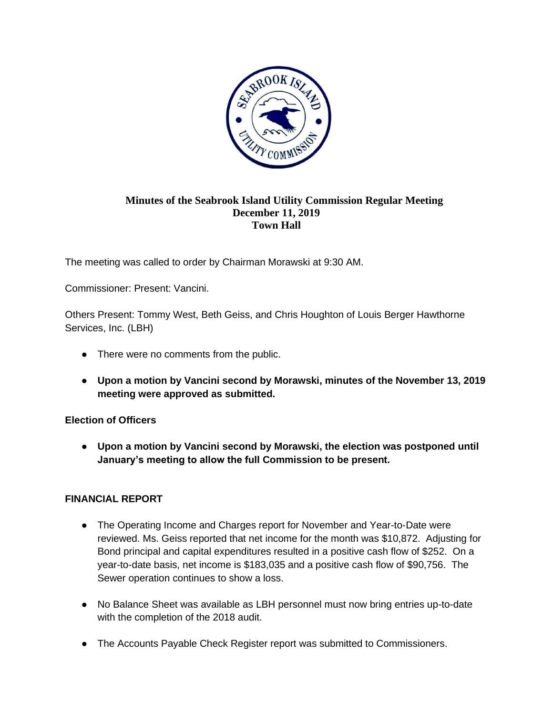

### **Minutes of the Seabrook Island Utility Commission Regular Meeting December 11, 2019 Town Hall**

The meeting was called to order by Chairman Morawski at 9:30 AM.

Commissioner: Present: Vancini.

Others Present: Tommy West, Beth Geiss, and Chris Houghton of Louis Berger Hawthorne Services, Inc. (LBH)

- There were no comments from the public.
- **Upon a motion by Vancini second by Morawski, minutes of the November 13, 2019 meeting were approved as submitted.**

### **Election of Officers**

● **Upon a motion by Vancini second by Morawski, the election was postponed until January's meeting to allow the full Commission to be present.**

### **FINANCIAL REPORT**

- The Operating Income and Charges report for November and Year-to-Date were reviewed. Ms. Geiss reported that net income for the month was \$10,872. Adjusting for Bond principal and capital expenditures resulted in a positive cash flow of \$252. On a year-to-date basis, net income is \$183,035 and a positive cash flow of \$90,756. The Sewer operation continues to show a loss.
- No Balance Sheet was available as LBH personnel must now bring entries up-to-date with the completion of the 2018 audit.
- The Accounts Payable Check Register report was submitted to Commissioners.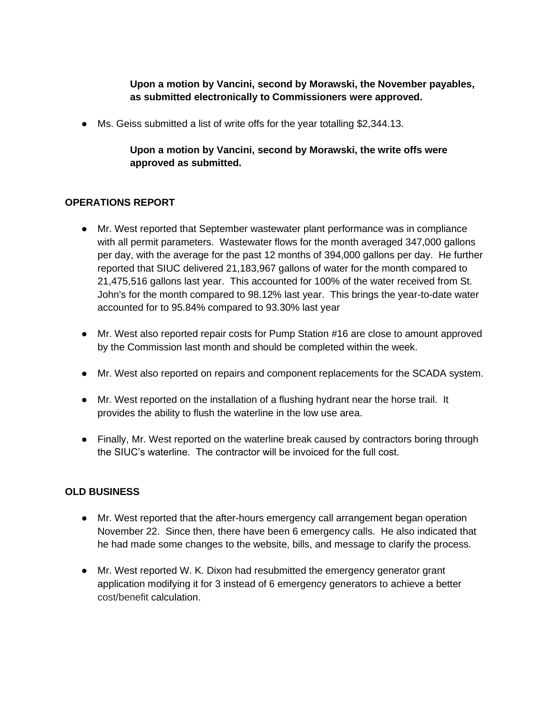**Upon a motion by Vancini, second by Morawski, the November payables, as submitted electronically to Commissioners were approved.**

● Ms. Geiss submitted a list of write offs for the year totalling \$2,344.13.

# **Upon a motion by Vancini, second by Morawski, the write offs were approved as submitted.**

### **OPERATIONS REPORT**

- Mr. West reported that September wastewater plant performance was in compliance with all permit parameters. Wastewater flows for the month averaged 347,000 gallons per day, with the average for the past 12 months of 394,000 gallons per day. He further reported that SIUC delivered 21,183,967 gallons of water for the month compared to 21,475,516 gallons last year. This accounted for 100% of the water received from St. John's for the month compared to 98.12% last year. This brings the year-to-date water accounted for to 95.84% compared to 93.30% last year
- Mr. West also reported repair costs for Pump Station #16 are close to amount approved by the Commission last month and should be completed within the week.
- Mr. West also reported on repairs and component replacements for the SCADA system.
- Mr. West reported on the installation of a flushing hydrant near the horse trail. It provides the ability to flush the waterline in the low use area.
- Finally, Mr. West reported on the waterline break caused by contractors boring through the SIUC's waterline. The contractor will be invoiced for the full cost.

### **OLD BUSINESS**

- Mr. West reported that the after-hours emergency call arrangement began operation November 22. Since then, there have been 6 emergency calls. He also indicated that he had made some changes to the website, bills, and message to clarify the process.
- Mr. West reported W. K. Dixon had resubmitted the emergency generator grant application modifying it for 3 instead of 6 emergency generators to achieve a better cost/benefit calculation.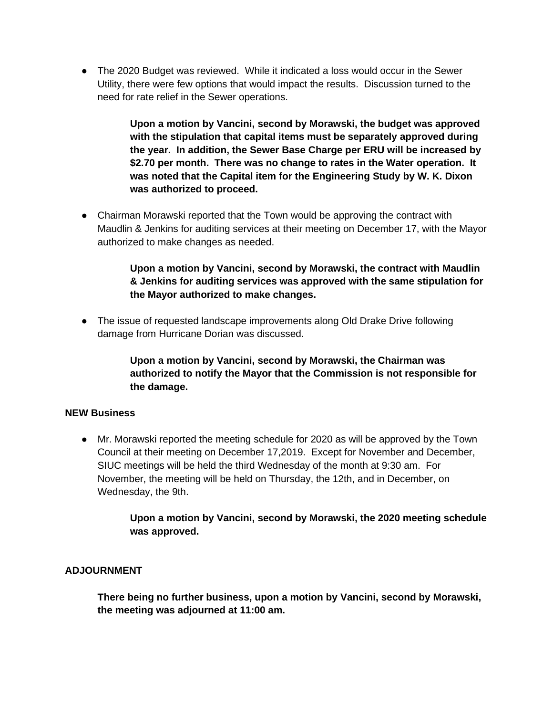● The 2020 Budget was reviewed. While it indicated a loss would occur in the Sewer Utility, there were few options that would impact the results. Discussion turned to the need for rate relief in the Sewer operations.

> **Upon a motion by Vancini, second by Morawski, the budget was approved with the stipulation that capital items must be separately approved during the year. In addition, the Sewer Base Charge per ERU will be increased by \$2.70 per month. There was no change to rates in the Water operation. It was noted that the Capital item for the Engineering Study by W. K. Dixon was authorized to proceed.**

● Chairman Morawski reported that the Town would be approving the contract with Maudlin & Jenkins for auditing services at their meeting on December 17, with the Mayor authorized to make changes as needed.

# **Upon a motion by Vancini, second by Morawski, the contract with Maudlin & Jenkins for auditing services was approved with the same stipulation for the Mayor authorized to make changes.**

● The issue of requested landscape improvements along Old Drake Drive following damage from Hurricane Dorian was discussed.

> **Upon a motion by Vancini, second by Morawski, the Chairman was authorized to notify the Mayor that the Commission is not responsible for the damage.**

### **NEW Business**

● Mr. Morawski reported the meeting schedule for 2020 as will be approved by the Town Council at their meeting on December 17,2019. Except for November and December, SIUC meetings will be held the third Wednesday of the month at 9:30 am. For November, the meeting will be held on Thursday, the 12th, and in December, on Wednesday, the 9th.

> **Upon a motion by Vancini, second by Morawski, the 2020 meeting schedule was approved.**

### **ADJOURNMENT**

**There being no further business, upon a motion by Vancini, second by Morawski, the meeting was adjourned at 11:00 am.**